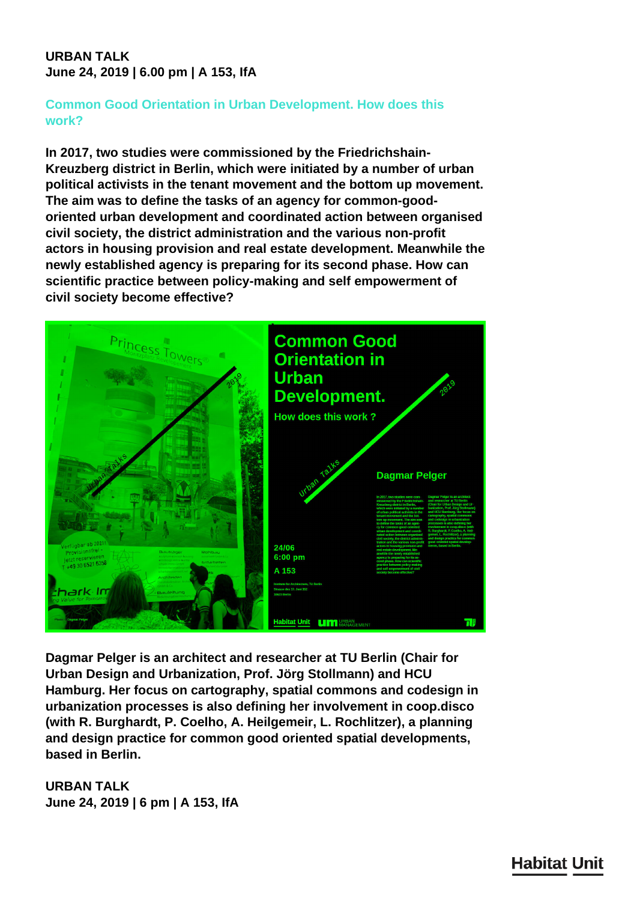## **URBAN TALK June 24, 2019 | 6.00 pm | A 153, IfA**

## **Common Good Orientation in Urban Development. How does this work?**

**In 2017, two studies were commissioned by the Friedrichshain-Kreuzberg district in Berlin, which were initiated by a number of urban political activists in the tenant movement and the bottom up movement. The aim was to define the tasks of an agency for common-goodoriented urban development and coordinated action between organised civil society, the district administration and the various non-profit actors in housing provision and real estate development. Meanwhile the newly established agency is preparing for its second phase. How can scientific practice between policy-making and self empowerment of civil society become effective?**



**Dagmar Pelger is an architect and researcher at TU Berlin (Chair for Urban Design and Urbanization, Prof. Jörg Stollmann) and HCU Hamburg. Her focus on cartography, spatial commons and codesign in urbanization processes is also defining her involvement in coop.disco (with R. Burghardt, P. Coelho, A. Heilgemeir, L. Rochlitzer), a planning and design practice for common good oriented spatial developments, based in Berlin.**

**URBAN TALK June 24, 2019 | 6 pm | A 153, IfA**